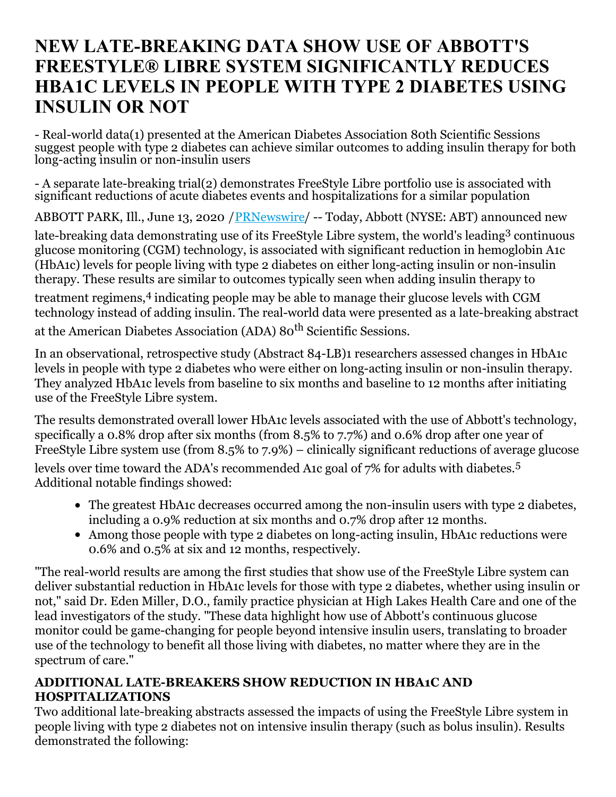# **NEW LATE-BREAKING DATA SHOW USE OF ABBOTT'S FREESTYLE® LIBRE SYSTEM SIGNIFICANTLY REDUCES HBA1C LEVELS IN PEOPLE WITH TYPE 2 DIABETES USING INSULIN OR NOT**

- Real-world data(1) presented at the American Diabetes Association 80th Scientific Sessions suggest people with type 2 diabetes can achieve similar outcomes to adding insulin therapy for both long-acting insulin or non-insulin users

- A separate late-breaking trial(2) demonstrates FreeStyle Libre portfolio use is associated with significant reductions of acute diabetes events and hospitalizations for a similar population

ABBOTT PARK, Ill., June 13, 2020 /[PRNewswire](http://www.prnewswire.com/)/ -- Today, Abbott (NYSE: ABT) announced new

late-breaking data demonstrating use of its FreeStyle Libre system, the world's leading<sup>3</sup> continuous glucose monitoring (CGM) technology, is associated with significant reduction in hemoglobin A1c (HbA1c) levels for people living with type 2 diabetes on either long-acting insulin or non-insulin therapy. These results are similar to outcomes typically seen when adding insulin therapy to

treatment regimens, 4 indicating people may be able to manage their glucose levels with CGM technology instead of adding insulin. The real-world data were presented as a late-breaking abstract

at the American Diabetes Association (ADA) 80<sup>th</sup> Scientific Sessions.

In an observational, retrospective study (Abstract 84-LB)1 researchers assessed changes in HbA1c levels in people with type 2 diabetes who were either on long-acting insulin or non-insulin therapy. They analyzed HbA1c levels from baseline to six months and baseline to 12 months after initiating use of the FreeStyle Libre system.

The results demonstrated overall lower HbA1c levels associated with the use of Abbott's technology, specifically a 0.8% drop after six months (from 8.5% to 7.7%) and 0.6% drop after one year of FreeStyle Libre system use (from 8.5% to 7.9%) – clinically significant reductions of average glucose

levels over time toward the ADA's recommended A1c goal of 7% for adults with diabetes. 5 Additional notable findings showed:

- The greatest HbA1c decreases occurred among the non-insulin users with type 2 diabetes, including a 0.9% reduction at six months and 0.7% drop after 12 months.
- Among those people with type 2 diabetes on long-acting insulin, HbA1c reductions were 0.6% and 0.5% at six and 12 months, respectively.

"The real-world results are among the first studies that show use of the FreeStyle Libre system can deliver substantial reduction in HbA1c levels for those with type 2 diabetes, whether using insulin or not," said Dr. Eden Miller, D.O., family practice physician at High Lakes Health Care and one of the lead investigators of the study. "These data highlight how use of Abbott's continuous glucose monitor could be game-changing for people beyond intensive insulin users, translating to broader use of the technology to benefit all those living with diabetes, no matter where they are in the spectrum of care."

## **ADDITIONAL LATE-BREAKERS SHOW REDUCTION IN HBA1C AND HOSPITALIZATIONS**

Two additional late-breaking abstracts assessed the impacts of using the FreeStyle Libre system in people living with type 2 diabetes not on intensive insulin therapy (such as bolus insulin). Results demonstrated the following: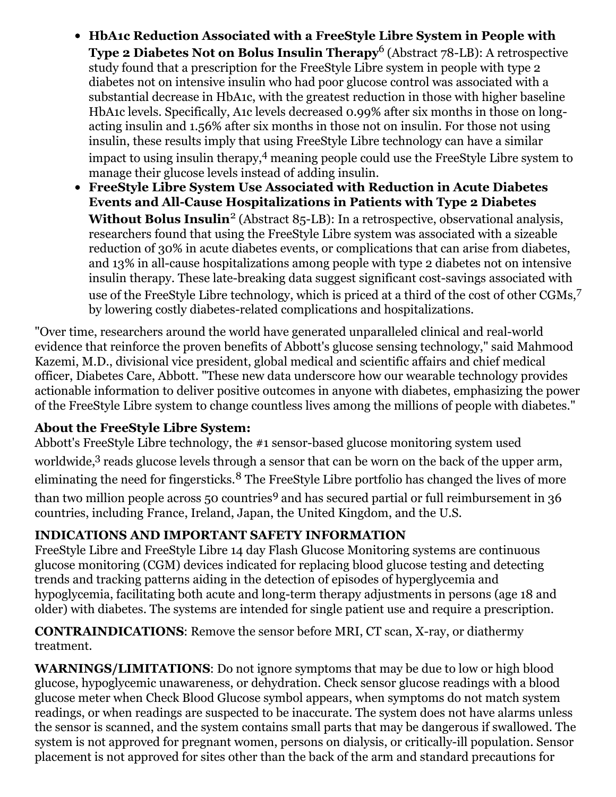- **HbA1c Reduction Associated with a FreeStyle Libre System in People with Type 2 Diabetes Not on Bolus Insulin Therapy** 6 (Abstract 78-LB): A retrospective study found that a prescription for the FreeStyle Libre system in people with type 2 diabetes not on intensive insulin who had poor glucose control was associated with a substantial decrease in HbA1c, with the greatest reduction in those with higher baseline HbA1c levels. Specifically, A1c levels decreased 0.99% after six months in those on longacting insulin and 1.56% after six months in those not on insulin. For those not using insulin, these results imply that using FreeStyle Libre technology can have a similar impact to using insulin therapy, <sup>4</sup> meaning people could use the FreeStyle Libre system to manage their glucose levels instead of adding insulin.
- **FreeStyle Libre System Use Associated with Reduction in Acute Diabetes Events and All-Cause Hospitalizations in Patients with Type 2 Diabetes Without Bolus Insulin** 2 (Abstract 85-LB): In a retrospective, observational analysis, researchers found that using the FreeStyle Libre system was associated with a sizeable reduction of 30% in acute diabetes events, or complications that can arise from diabetes, and 13% in all-cause hospitalizations among people with type 2 diabetes not on intensive insulin therapy. These late-breaking data suggest significant cost-savings associated with use of the FreeStyle Libre technology, which is priced at a third of the cost of other CGMs, 7 by lowering costly diabetes-related complications and hospitalizations.

"Over time, researchers around the world have generated unparalleled clinical and real-world evidence that reinforce the proven benefits of Abbott's glucose sensing technology," said Mahmood Kazemi, M.D., divisional vice president, global medical and scientific affairs and chief medical officer, Diabetes Care, Abbott. "These new data underscore how our wearable technology provides actionable information to deliver positive outcomes in anyone with diabetes, emphasizing the power of the FreeStyle Libre system to change countless lives among the millions of people with diabetes."

## **About the FreeStyle Libre System:**

Abbott's FreeStyle Libre technology, the #1 sensor-based glucose monitoring system used worldwide,<sup>3</sup> reads glucose levels through a sensor that can be worn on the back of the upper arm, eliminating the need for fingersticks.<sup>8</sup> The FreeStyle Libre portfolio has changed the lives of more than two million people across 50 countries <sup>9</sup> and has secured partial or full reimbursement in 36 countries, including France, Ireland, Japan, the United Kingdom, and the U.S.

# **INDICATIONS AND IMPORTANT SAFETY INFORMATION**

FreeStyle Libre and FreeStyle Libre 14 day Flash Glucose Monitoring systems are continuous glucose monitoring (CGM) devices indicated for replacing blood glucose testing and detecting trends and tracking patterns aiding in the detection of episodes of hyperglycemia and hypoglycemia, facilitating both acute and long-term therapy adjustments in persons (age 18 and older) with diabetes. The systems are intended for single patient use and require a prescription.

#### **CONTRAINDICATIONS**: Remove the sensor before MRI, CT scan, X-ray, or diathermy treatment.

**WARNINGS/LIMITATIONS**: Do not ignore symptoms that may be due to low or high blood glucose, hypoglycemic unawareness, or dehydration. Check sensor glucose readings with a blood glucose meter when Check Blood Glucose symbol appears, when symptoms do not match system readings, or when readings are suspected to be inaccurate. The system does not have alarms unless the sensor is scanned, and the system contains small parts that may be dangerous if swallowed. The system is not approved for pregnant women, persons on dialysis, or critically-ill population. Sensor placement is not approved for sites other than the back of the arm and standard precautions for